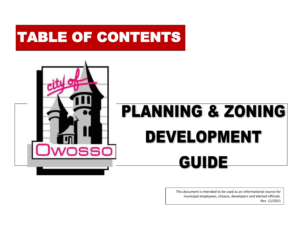# TABLE OF CONTENTS



This document is intended to be used as an informational source for municipal employees, citizens, developers and elected officials. Rev. 12/2021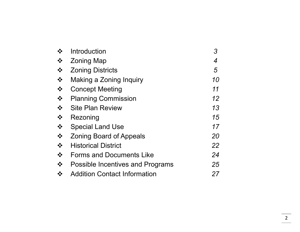|                                       | Introduction                        |    |
|---------------------------------------|-------------------------------------|----|
| $\frac{1}{2}$                         | <b>Zoning Map</b>                   | 4  |
| $\bullet$                             | <b>Zoning Districts</b>             | 5  |
| $\frac{1}{2}$                         | Making a Zoning Inquiry             | 10 |
| $\bullet^{\bullet}_{\bullet} \bullet$ | <b>Concept Meeting</b>              | 11 |
| $\bullet$                             | <b>Planning Commission</b>          | 12 |
| $\frac{1}{2}$                         | <b>Site Plan Review</b>             | 13 |
| $\bullet^{\bullet}_{\bullet} \bullet$ | Rezoning                            | 15 |
| $\frac{1}{2}$                         | <b>Special Land Use</b>             | 17 |
| $\frac{1}{2}$                         | <b>Zoning Board of Appeals</b>      | 20 |
| $\frac{1}{2}$                         | <b>Historical District</b>          | 22 |
| $\frac{1}{2}$                         | <b>Forms and Documents Like</b>     | 24 |
| $\frac{1}{2}$                         | Possible Incentives and Programs    | 25 |
|                                       | <b>Addition Contact Information</b> | 27 |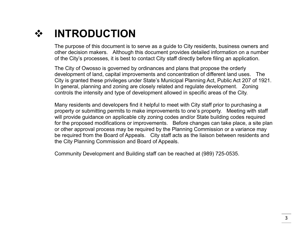### **INTRODUCTION**

The purpose of this document is to serve as a guide to City residents, business owners and other decision makers. Although this document provides detailed information on a number of the City's processes, it is best to contact City staff directly before filing an application.

The City of Owosso is governed by ordinances and plans that propose the orderly development of land, capital improvements and concentration of different land uses. The City is granted these privileges under State's Municipal Planning Act, Public Act 207 of 1921. In general, planning and zoning are closely related and regulate development. Zoning controls the intensity and type of development allowed in specific areas of the City.

Many residents and developers find it helpful to meet with City staff prior to purchasing a property or submitting permits to make improvements to one's property. Meeting with staff will provide guidance on applicable city zoning codes and/or State building codes required for the proposed modifications or improvements. Before changes can take place, a site plan or other approval process may be required by the Planning Commission or a variance may be required from the Board of Appeals. City staff acts as the liaison between residents and the City Planning Commission and Board of Appeals.

Community Development and Building staff can be reached at (989) 725-0535.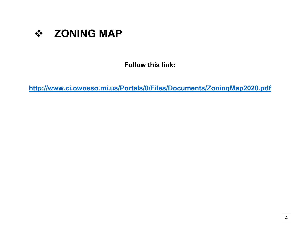

**Follow this link:**

**<http://www.ci.owosso.mi.us/Portals/0/Files/Documents/ZoningMap2020.pdf>**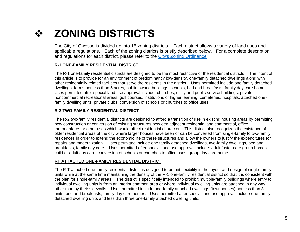### **❖ ZONING DISTRICTS**

The City of Owosso is divided up into 15 zoning districts. Each district allows a variety of land uses and applicable regulations. Each of the zoning districts is briefly described below. For a complete description and regulations for each district, please refer to the [City's Zoning Ordinance.](https://library.municode.com/mi/owosso/codes/code_of_ordinances?nodeId=PTIICOOR_CH38ZO)

#### **R-1 ONE-FAMILY RESIDENTIAL DISTRICT**

The R-1 one-family residential districts are designed to be the most restrictive of the residential districts. The intent of this article is to provide for an environment of predominantly low-density, one-family detached dwellings along with other residentially related facilities that serve the residents in the district. Uses permitted include one family detached dwellings, farms not less than 5 acres, public owned buildings, schools, bed and breakfasts, family day care home. Uses permitted after special land use approval include: churches, utility and public service buildings, private noncommercial recreational areas, golf courses, institutions of higher learning, cemeteries, hospitals, attached onefamily dwelling units, private clubs, conversion of schools or churches to office uses.

#### **R-2 TWO-FAMILY RESIDENTIAL DISTRICT**

The R-2 two-family residential districts are designed to afford a transition of use in existing housing areas by permitting new construction or conversion of existing structures between adjacent residential and commercial, office, thoroughfares or other uses which would affect residential character. This district also recognizes the existence of older residential areas of the city where larger houses have been or can be converted from single-family to two-family residences in order to extend the economic life of these structures and allow the owners to justify the expenditures for repairs and modernization. Uses permitted include one family detached dwellings, two-family dwellings, bed and breakfasts, family day care. Uses permitted after special land use approval include: adult foster care group homes, child or adult day care, conversion of schools or churches to office uses, group day care home.

#### **RT ATTACHED ONE-FAMILY RESIDENTIAL DISTRICT**

The R-T attached one-family residential district is designed to permit flexibility in the layout and design of single-family units while at the same time maintaining the density of the R-1 one-family residential district so that it is consistent with the plan for single-family areas. The district is specifically intended to prohibit multiple-family buildings where entry to individual dwelling units is from an interior common area or where individual dwelling units are attached in any way other than by their sidewalls. Uses permitted include one-family attached dwellings (townhouses) not less than 3 units, bed and breakfasts, family day care homes. Uses permitted after special land use approval include one-family detached dwelling units and less than three one-family attached dwelling units.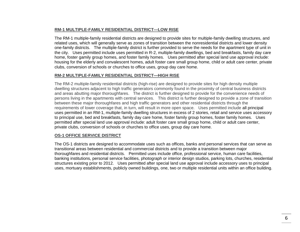#### **RM-1 MULTIPLE-FAMILY RESIDENTIAL DISTRICT—LOW RISE**

The RM-1 multiple-family residential districts are designed to provide sites for multiple-family dwelling structures, and related uses, which will generally serve as zones of transition between the nonresidential districts and lower density one-family districts. The multiple-family district is further provided to serve the needs for the apartment type of unit in the city. Uses permitted include uses permitted in R-2, multiple-family dwellings, bed and breakfasts, family day care home, foster gamily group homes, and foster family homes. Uses permitted after special land use approval include: housing for the elderly and convalescent homes, adult foster care small group home, child or adult care center, private clubs, conversion of schools or churches to office uses, group day care home.

#### **RM-2 MULTIPLE-FAMILY RESIDENTIAL DISTRICT—HIGH RISE**

The RM-2 multiple-family residential districts (high-rise) are designed to provide sites for high density multiple dwelling structures adjacent to high traffic generators commonly found in the proximity of central business districts and areas abutting major thoroughfares. The district is further designed to provide for the convenience needs of persons living in the apartments with central services. This district is further designed to provide a zone of transition between these major thoroughfares and high traffic generators and other residential districts through the requirements of lower coverage that, in turn, will result in more open space. Uses permitted include all principal uses permitted in an RM-1, multiple-family dwelling structures in excess of 2 stories, retail and service uses accessory to principal use, bed and breakfasts, family day care home, foster family group homes, foster family homes. Uses permitted after special land use approval include: adult foster care small group home, child or adult care center, private clubs, conversion of schools or churches to office uses, group day care home.

### **OS-1 OFFICE SERVICE DISTRICT**

The OS-1 districts are designed to accommodate uses such as offices, banks and personal services that can serve as transitional areas between residential and commercial districts and to provide a transition between major thoroughfares and residential districts. Permitted uses include office, professional service, human care facilities, banking institutions, personal service facilities, photograph or interior design studios, parking lots, churches, residential structures existing prior to 2012. Uses permitted after special land use approval include accessory uses to principal uses, mortuary establishments, publicly owned buildings, one, two or multiple residential units within an office building.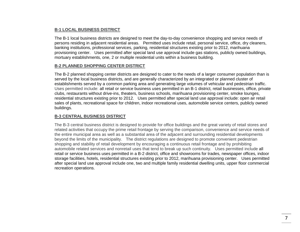#### **B-1 LOCAL BUSINESS DISTRICT**

The B-1 local business districts are designed to meet the day-to-day convenience shopping and service needs of persons residing in adjacent residential areas. Permitted uses include retail, personal service, office, dry cleaners, banking institutions, professional services, parking, residential structures existing prior to 2012, marihuana provisioning center. Uses permitted after special land use approval include gas stations, publicly owned buildings, mortuary establishments, one, 2 or multiple residential units within a business building.

#### **B-2 PLANNED SHOPPING CENTER DISTRICT**

The B-2 planned shopping center districts are designed to cater to the needs of a larger consumer population than is served by the local business districts, and are generally characterized by an integrated or planned cluster of establishments served by a common parking area and generating large volumes of vehicular and pedestrian traffic. Uses permitted include: all retail or service business uses permitted in an B-1 district, retail businesses, office, private clubs, restaurants without drive-ins, theaters, business schools, marihuana provisioning center, smoke lounges, residential structures existing prior to 2012. Uses permitted after special land use approval include: open air retail sales of plants, recreational space for children, indoor recreational uses, automobile service centers, publicly owned buildings.

### **B-3 CENTRAL BUSINESS DISTRICT**

The B-3 central business district is designed to provide for office buildings and the great variety of retail stores and related activities that occupy the prime retail frontage by serving the comparison, convenience and service needs of the entire municipal area as well as a substantial area of the adjacent and surrounding residential developments beyond the limits of the municipality. The district regulations are designed to promote convenient pedestrian shopping and stability of retail development by encouraging a continuous retail frontage and by prohibiting automobile related services and nonretail uses that tend to break up such continuity. Uses permitted include all retail or service business uses permitted in a B-2 district, office and showrooms for trades, newspaper offices, indoor storage facilities, hotels, residential structures existing prior to 2012, marihuana provisioning center. Uses permitted after special land use approval include one, two and multiple family residential dwelling units, upper floor commercial recreation operations.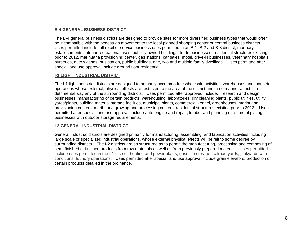#### **B-4 GENERAL BUSINESS DISTRICT**

The B-4 general business districts are designed to provide sites for more diversified business types that would often be incompatible with the pedestrian movement to the local planned shopping center or central business districts. Uses permitted include: all retail or service business uses permitted in an B-1, B-2 and B-3 district, mortuary establishments, interior recreational uses, publicly owned buildings, trade businesses, residential structures existing prior to 2012, marihuana provisioning center, gas stations, car sales, motel, drive-in businesses, veterinary hospitals, nurseries, auto washes, bus station, public buildings, one, two and multiple family dwellings. Uses permitted after special land use approval include ground floor residential.

### **I-1 LIGHT INDUSTRIAL DISTRICT**

The I-1 light industrial districts are designed to primarily accommodate wholesale activities, warehouses and industrial operations whose external, physical effects are restricted to the area of the district and in no manner affect in a detrimental way any of the surrounding districts. Uses permitted after approved include: research and design businesses, manufacturing of certain products, warehousing, laboratories, dry cleaning plants, public utilities, utility yards/plants, building material storage facilities, municipal plants, commercial kennel, greenhouses, marihuana provisioning centers, marihuana growing and processing centers, residential structures existing prior to 2012. Uses permitted after special land use approval include auto engine and repair, lumber and planning mills, metal plating, businesses with outdoor storage requirements.

### **I-2 GENERAL INDUSTRIAL DISTRICT**

General industrial districts are designed primarily for manufacturing, assembling, and fabrication activities including large scale or specialized industrial operations, whose external physical effects will be felt to some degree by surrounding districts. The I-2 districts are so structured as to permit the manufacturing, processing and composing of semi-finished or finished products from raw materials as well as from previously prepared material. Uses permitted include uses permitted in the I-1 district, heating and power plants, gasoline storage, railroad yards, junkyards with conditions, foundry operations. Uses permitted after special land use approval include grain elevators, production of certain products detailed in the ordinance.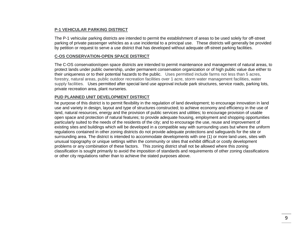### **P-1 VEHICULAR PARKING DISTRICT**

The P-1 vehicular parking districts are intended to permit the establishment of areas to be used solely for off-street parking of private passenger vehicles as a use incidental to a principal use. These districts will generally be provided by petition or request to serve a use district that has developed without adequate off-street parking facilities.

### **C-OS CONSERVATION-OPEN SPACE DISTRICT**

The C-OS conservation/open space districts are intended to permit maintenance and management of natural areas, to protect lands under public ownership, under permanent conservation organization or of high public value due either to their uniqueness or to their potential hazards to the public. Uses permitted include farms not less than 5 acres, forestry, natural areas, public outdoor recreation facilities over 1 acre, storm water management facilities, water supply facilities. Uses permitted after special land use approval include park structures, service roads, parking lots, private recreation area, plant nurseries.

#### **PUD PLANNED UNIT DEVELOPMENT DISTRICT**

he purpose of this district is to permit flexibility in the regulation of land development; to encourage innovation in land use and variety in design, layout and type of structures constructed; to achieve economy and efficiency in the use of land, natural resources, energy and the provision of public services and utilities; to encourage provision of usable open space and protection of natural features; to provide adequate housing, employment and shopping opportunities particularly suited to the needs of the residents of the city; and to encourage the use, reuse and improvement of existing sites and buildings which will be developed in a compatible way with surrounding uses but where the uniform regulations contained in other zoning districts do not provide adequate protections and safeguards for the site or surrounding area. The district is intended to accommodate developments with one (1) or more land uses, sites with unusual topography or unique settings within the community or sites that exhibit difficult or costly development problems or any combination of these factors. This zoning district shall not be allowed where this zoning classification is sought primarily to avoid the imposition of standards and requirements of other zoning classifications or other city regulations rather than to achieve the stated purposes above.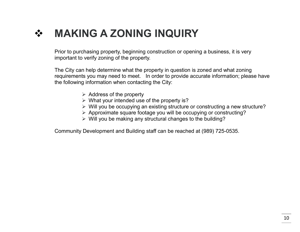# **MAKING A ZONING INQUIRY**

Prior to purchasing property, beginning construction or opening a business, it is very important to verify zoning of the property.

The City can help determine what the property in question is zoned and what zoning requirements you may need to meet. In order to provide accurate information; please have the following information when contacting the City:

- $\triangleright$  Address of the property
- $\triangleright$  What your intended use of the property is?
- Will you be occupying an existing structure or constructing a new structure?
- Approximate square footage you will be occupying or constructing?
- $\triangleright$  Will you be making any structural changes to the building?

Community Development and Building staff can be reached at (989) 725-0535.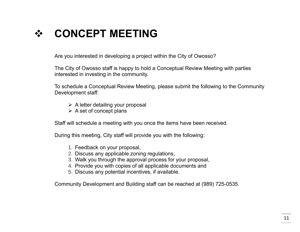### **CONCEPT MEETING**

Are you interested in developing a project within the City of Owosso?

The City of Owosso staff is happy to hold a Conceptual Review Meeting with parties interested in investing in the community.

To schedule a Conceptual Review Meeting, please submit the following to the Community Development staff:

- $\triangleright$  A letter detailing your proposal
- $\triangleright$  A set of concept plans

Staff will schedule a meeting with you once the items have been received.

During this meeting, City staff will provide you with the following:

- 1. Feedback on your proposal,
- 2. Discuss any applicable zoning regulations,
- 3. Walk you through the approval process for your proposal,
- 4. Provide you with copies of all applicable documents and
- 5. Discuss any potential incentives, if available.

Community Development and Building staff can be reached at (989) 725-0535.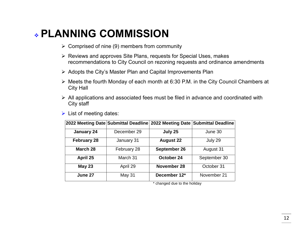### **PLANNING COMMISSION**

- $\triangleright$  Comprised of nine (9) members from community
- Reviews and approves Site Plans, requests for Special Uses, makes recommendations to City Council on rezoning requests and ordinance amendments
- $\triangleright$  Adopts the City's Master Plan and Capital Improvements Plan
- $\triangleright$  Meets the fourth Monday of each month at 6:30 P.M. in the City Council Chambers at City Hall
- $\triangleright$  All applications and associated fees must be filed in advance and coordinated with City staff
- $\triangleright$  List of meeting dates:

|                    | 2022 Meeting Date Submittal Deadline 2022 Meeting Date Submittal Deadline |                  |              |
|--------------------|---------------------------------------------------------------------------|------------------|--------------|
| January 24         | December 29                                                               | July 25          | June 30      |
| <b>February 28</b> | January 31                                                                | <b>August 22</b> | July 29      |
| March 28           | February 28                                                               | September 26     | August 31    |
| April 25           | March 31                                                                  | October 24       | September 30 |
| <b>May 23</b>      | April 29                                                                  | November 28      | October 31   |
| June 27            | May 31                                                                    | December 12*     | November 21  |

\* changed due to the holiday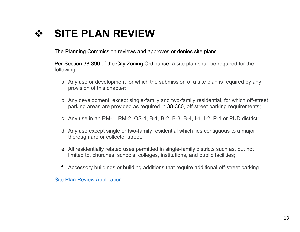### **SITE PLAN REVIEW**

The Planning Commission reviews and approves or denies site plans.

Per Section 38-390 of the City Zoning Ordinance, a site plan shall be required for the following:

- a. Any use or development for which the submission of a site plan is required by any provision of this chapter;
- b. Any development, except single-family and two-family residential, for which off-street parking areas are provided as required in 38-380, off-street parking requirements;
- c. Any use in an RM-1, RM-2, OS-1, B-1, B-2, B-3, B-4, I-1, I-2, P-1 or PUD district;
- d. Any use except single or two-family residential which lies contiguous to a major thoroughfare or collector street;
- e. All residentially related uses permitted in single-family districts such as, but not limited to, churches, schools, colleges, institutions, and public facilities;
- f. Accessory buildings or building additions that require additional off-street parking.

[Site Plan Review Application](http://www.ci.owosso.mi.us/Portals/0/Files/Forms/SitePlanApplication-Checklist.pdf)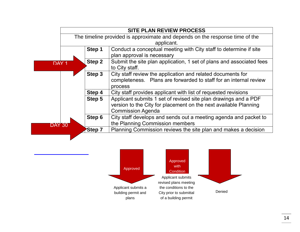|                            | <b>SITE PLAN REVIEW PROCESS</b>                                              |  |  |
|----------------------------|------------------------------------------------------------------------------|--|--|
|                            | The timeline provided is approximate and depends on the response time of the |  |  |
|                            | applicant.                                                                   |  |  |
| Step 1                     | Conduct a conceptual meeting with City staff to determine if site            |  |  |
|                            | plan approval is necessary                                                   |  |  |
| Step 2<br>DAY <sub>1</sub> | Submit the site plan application, 1 set of plans and associated fees         |  |  |
|                            | to City staff.                                                               |  |  |
| Step 3                     | City staff review the application and related documents for                  |  |  |
|                            | completeness. Plans are forwarded to staff for an internal review            |  |  |
|                            | process                                                                      |  |  |
| Step 4                     | City staff provides applicant with list of requested revisions               |  |  |
| Step 5                     | Applicant submits 1 set of revised site plan drawings and a PDF              |  |  |
|                            | version to the City for placement on the next available Planning             |  |  |
| <b>Commission Agenda</b>   |                                                                              |  |  |
| Step 6                     | City staff develops and sends out a meeting agenda and packet to             |  |  |
| DAY 30                     | the Planning Commission members                                              |  |  |
| Step 7                     | Planning Commission reviews the site plan and makes a decision               |  |  |
|                            |                                                                              |  |  |

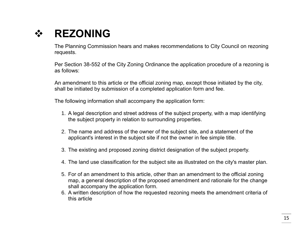### **REZONING**

The Planning Commission hears and makes recommendations to City Council on rezoning requests.

Per Section 38-552 of the City Zoning Ordinance the application procedure of a rezoning is as follows:

An amendment to this article or the official zoning map, except those initiated by the city, shall be initiated by submission of a completed application form and fee.

The following information shall accompany the application form:

- 1. A legal description and street address of the subject property, with a map identifying the subject property in relation to surrounding properties.
- 2. The name and address of the owner of the subject site, and a statement of the applicant's interest in the subject site if not the owner in fee simple title.
- 3. The existing and proposed zoning district designation of the subject property.
- 4. The land use classification for the subject site as illustrated on the city's master plan.
- 5. For of an amendment to this article, other than an amendment to the official zoning map, a general description of the proposed amendment and rationale for the change shall accompany the application form.
- 6. A written description of how the requested rezoning meets the amendment criteria of this article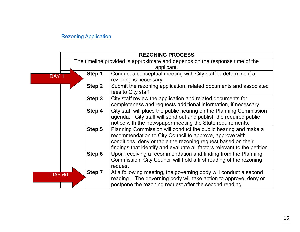### **[Rezoning Application](http://www.ci.owosso.mi.us/Portals/0/Files/Forms/Rezoning%20Application.pdf)**

|                            | <b>REZONING PROCESS</b>                                                                                                                       |                                                                                         |  |
|----------------------------|-----------------------------------------------------------------------------------------------------------------------------------------------|-----------------------------------------------------------------------------------------|--|
|                            | The timeline provided is approximate and depends on the response time of the                                                                  |                                                                                         |  |
|                            | applicant.                                                                                                                                    |                                                                                         |  |
| Step 1<br>DAY <sub>1</sub> |                                                                                                                                               | Conduct a conceptual meeting with City staff to determine if a                          |  |
|                            |                                                                                                                                               | rezoning is necessary                                                                   |  |
|                            | Step 2                                                                                                                                        | Submit the rezoning application, related documents and associated<br>fees to City staff |  |
|                            |                                                                                                                                               |                                                                                         |  |
|                            | Step 3<br>City staff review the application and related documents for                                                                         |                                                                                         |  |
|                            |                                                                                                                                               | completeness and requests additional information, if necessary.                         |  |
| Step 4                     |                                                                                                                                               | City staff will place the public hearing on the Planning Commission                     |  |
|                            | agenda. City staff will send out and publish the required public                                                                              |                                                                                         |  |
|                            |                                                                                                                                               | notice with the newspaper meeting the State requirements.                               |  |
|                            | Step 5                                                                                                                                        | Planning Commission will conduct the public hearing and make a                          |  |
|                            |                                                                                                                                               | recommendation to City Council to approve, approve with                                 |  |
|                            |                                                                                                                                               | conditions, deny or table the rezoning request based on their                           |  |
|                            |                                                                                                                                               | findings that identify and evaluate all factors relevant to the petition                |  |
|                            | Step 6<br>Upon receiving a recommendation and finding from the Planning<br>Commission, City Council will hold a first reading of the rezoning |                                                                                         |  |
|                            |                                                                                                                                               |                                                                                         |  |
|                            |                                                                                                                                               | request                                                                                 |  |
| DAY 60                     | Step 7                                                                                                                                        | At a following meeting, the governing body will conduct a second                        |  |
|                            |                                                                                                                                               | reading. The governing body will take action to approve, deny or                        |  |
|                            |                                                                                                                                               | postpone the rezoning request after the second reading                                  |  |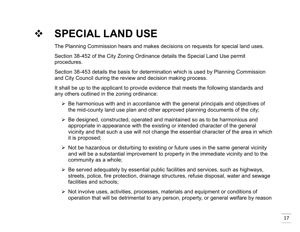### **❖ SPECIAL LAND USE**

The Planning Commission hears and makes decisions on requests for special land uses.

Section 38-452 of the City Zoning Ordinance details the Special Land Use permit procedures.

Section 38-453 details the basis for determination which is used by Planning Commission and City Council during the review and decision making process.

It shall be up to the applicant to provide evidence that meets the following standards and any others outlined in the zoning ordinance:

- $\triangleright$  Be harmonious with and in accordance with the general principals and objectives of the mid-county land use plan and other approved planning documents of the city;
- $\triangleright$  Be designed, constructed, operated and maintained so as to be harmonious and appropriate in appearance with the existing or intended character of the general vicinity and that such a use will not change the essential character of the area in which it is proposed;
- $\triangleright$  Not be hazardous or disturbing to existing or future uses in the same general vicinity and will be a substantial improvement to property in the immediate vicinity and to the community as a whole;
- $\triangleright$  Be served adequately by essential public facilities and services, such as highways, streets, police, fire protection, drainage structures, refuse disposal, water and sewage facilities and schools;
- $\triangleright$  Not involve uses, activities, processes, materials and equipment or conditions of operation that will be detrimental to any person, property, or general welfare by reason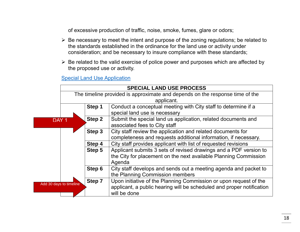of excessive production of traffic, noise, smoke, fumes, glare or odors;

- $\triangleright$  Be necessary to meet the intent and purpose of the zoning regulations; be related to the standards established in the ordinance for the land use or activity under consideration; and be necessary to insure compliance with these standards;
- $\triangleright$  Be related to the valid exercise of police power and purposes which are affected by the proposed use or activity.

[Special Land Use Application](http://www.ci.owosso.mi.us/Portals/0/Files/Documents/1_Special%20Land%20Use%20Application.pdf)

|                         | <b>SPECIAL LAND USE PROCESS</b>                                              |                                                                       |  |
|-------------------------|------------------------------------------------------------------------------|-----------------------------------------------------------------------|--|
|                         | The timeline provided is approximate and depends on the response time of the |                                                                       |  |
|                         | applicant.                                                                   |                                                                       |  |
|                         | Step 1                                                                       | Conduct a conceptual meeting with City staff to determine if a        |  |
|                         |                                                                              | special land use is necessary                                         |  |
| DAY <sub>1</sub>        | Step 2                                                                       | Submit the special land us application, related documents and         |  |
|                         | associated fees to City staff                                                |                                                                       |  |
|                         | Step 3                                                                       | City staff review the application and related documents for           |  |
|                         |                                                                              | completeness and requests additional information, if necessary.       |  |
|                         | City staff provides applicant with list of requested revisions<br>Step 4     |                                                                       |  |
| Step 5                  |                                                                              | Applicant submits 3 sets of revised drawings and a PDF version to     |  |
|                         | the City for placement on the next available Planning Commission<br>Agenda   |                                                                       |  |
|                         |                                                                              |                                                                       |  |
|                         | Step 6                                                                       | City staff develops and sends out a meeting agenda and packet to      |  |
|                         | the Planning Commission members                                              |                                                                       |  |
| Add 30 days to timeline | Step 7                                                                       | Upon initiative of the Planning Commission or upon request of the     |  |
|                         |                                                                              | applicant, a public hearing will be scheduled and proper notification |  |
|                         |                                                                              | will be done                                                          |  |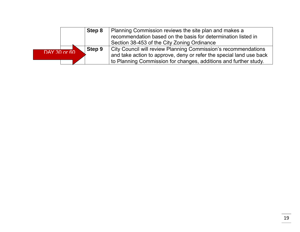|              | Step 8 | Planning Commission reviews the site plan and makes a<br>recommendation based on the basis for determination listed in<br>Section 38-453 of the City Zoning Ordinance                                     |
|--------------|--------|-----------------------------------------------------------------------------------------------------------------------------------------------------------------------------------------------------------|
| DAY 30 or 60 | Step 9 | City Council will review Planning Commission's recommendations<br>and take action to approve, deny or refer the special land use back<br>to Planning Commission for changes, additions and further study. |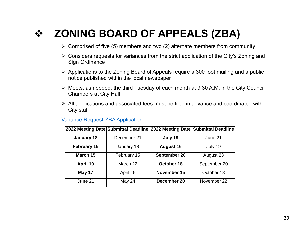# **ZONING BOARD OF APPEALS (ZBA)**

- $\triangleright$  Comprised of five (5) members and two (2) alternate members from community
- Considers requests for variances from the strict application of the City's Zoning and Sign Ordinance
- $\triangleright$  Applications to the Zoning Board of Appeals require a 300 foot mailing and a public notice published within the local newspaper
- Meets, as needed, the third Tuesday of each month at 9:30 A.M. in the City Council Chambers at City Hall
- $\triangleright$  All applications and associated fees must be filed in advance and coordinated with City staff

### [Variance Request-ZBA Application](http://www.ci.owosso.mi.us/Portals/0/Files/Forms/ZBA%20APPLICATION.pdf)

|                    | 2022 Meeting Date Submittal Deadline 2022 Meeting Date Submittal Deadline |                  |              |
|--------------------|---------------------------------------------------------------------------|------------------|--------------|
| <b>January 18</b>  | December 21                                                               | July 19          | June 21      |
| <b>February 15</b> | January 18                                                                | <b>August 16</b> | July 19      |
| March 15           | February 15                                                               | September 20     | August 23    |
| April 19           | March 22                                                                  | October 18       | September 20 |
| May 17             | April 19                                                                  | November 15      | October 18   |
| June 21            | May 24                                                                    | December 20      | November 22  |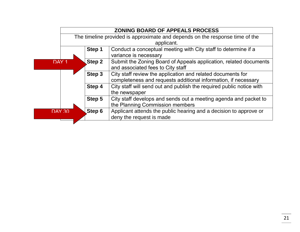|                  | <b>ZONING BOARD OF APPEALS PROCESS</b>                                       |                                                                      |  |
|------------------|------------------------------------------------------------------------------|----------------------------------------------------------------------|--|
|                  | The timeline provided is approximate and depends on the response time of the |                                                                      |  |
|                  | applicant.                                                                   |                                                                      |  |
|                  | Conduct a conceptual meeting with City staff to determine if a<br>Step 1     |                                                                      |  |
|                  |                                                                              | variance is necessary                                                |  |
| DAY <sub>1</sub> | Step 2                                                                       | Submit the Zoning Board of Appeals application, related documents    |  |
|                  |                                                                              | and associated fees to City staff                                    |  |
|                  | Step 3                                                                       | City staff review the application and related documents for          |  |
|                  |                                                                              | completeness and requests additional information, if necessary       |  |
|                  | Step 4                                                                       | City staff will send out and publish the required public notice with |  |
|                  |                                                                              | the newspaper                                                        |  |
|                  | Step 5                                                                       | City staff develops and sends out a meeting agenda and packet to     |  |
|                  |                                                                              | the Planning Commission members                                      |  |
| <b>DAY 30</b>    | Step 6                                                                       | Applicant attends the public hearing and a decision to approve or    |  |
|                  |                                                                              | deny the request is made                                             |  |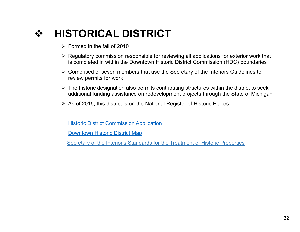# **HISTORICAL DISTRICT**

- $\triangleright$  Formed in the fall of 2010
- $\triangleright$  Regulatory commission responsible for reviewing all applications for exterior work that is completed in within the Downtown Historic District Commission (HDC) boundaries
- $\triangleright$  Comprised of seven members that use the Secretary of the Interiors Guidelines to review permits for work
- $\triangleright$  The historic designation also permits contributing structures within the district to seek additional funding assistance on redevelopment projects through the State of Michigan
- $\triangleright$  As of 2015, this district is on the National Register of Historic Places

[Historic District Commission Application](http://www.ci.owosso.mi.us/Portals/0/Files/Documents/HDC%20App.pdf)

[Downtown Historic District Map](http://www.ci.owosso.mi.us/Portals/0/Hist%20Dist%2007-10-12.pdf)

[Secretary of the Interior's Standards for the Treatment of Historic Properties](https://www.nps.gov/tps/standards/treatment-guidelines-2017.pdf)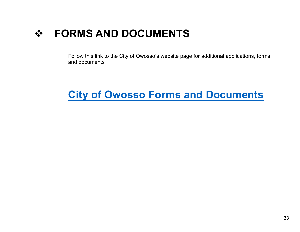### **FORMS AND DOCUMENTS**

Follow this link to the City of Owosso's website page for additional applications, forms and documents

### **[City of Owosso Forms and Documents](http://www.ci.owosso.mi.us/Forms-Documents)**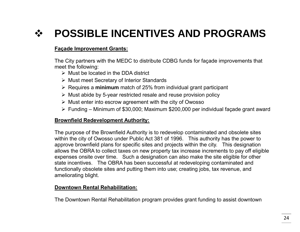# **POSSIBLE INCENTIVES AND PROGRAMS**

### **Façade Improvement Grants:**

The City partners with the MEDC to distribute CDBG funds for façade improvements that meet the following:

- $\triangleright$  Must be located in the DDA district
- **▶ Must meet Secretary of Interior Standards**
- Requires a **minimum** match of 25% from individual grant participant
- $\triangleright$  Must abide by 5-year restricted resale and reuse provision policy
- $\triangleright$  Must enter into escrow agreement with the city of Owosso
- $\triangleright$  Funding Minimum of \$30,000; Maximum \$200,000 per individual façade grant award

### **Brownfield Redevelopment Authority:**

The purpose of the Brownfield Authority is to redevelop contaminated and obsolete sites within the city of Owosso under Public Act 381 of 1996. This authority has the power to approve brownfield plans for specific sites and projects within the city. This designation allows the OBRA to collect taxes on new property tax increase increments to pay off eligible expenses onsite over time. Such a designation can also make the site eligible for other state incentives. The OBRA has been successful at redeveloping contaminated and functionally obsolete sites and putting them into use; creating jobs, tax revenue, and ameliorating blight.

### **Downtown Rental Rehabilitation:**

The Downtown Rental Rehabilitation program provides grant funding to assist downtown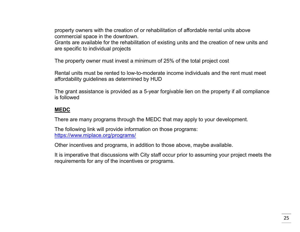property owners with the creation of or rehabilitation of affordable rental units above commercial space in the downtown.

Grants are available for the rehabilitation of existing units and the creation of new units and are specific to individual projects

The property owner must invest a minimum of 25% of the total project cost

Rental units must be rented to low-to-moderate income individuals and the rent must meet affordability guidelines as determined by HUD

The grant assistance is provided as a 5-year forgivable lien on the property if all compliance is followed

### **MEDC**

There are many programs through the MEDC that may apply to your development.

The following link will provide information on those programs: https://www.miplace.org/programs/

Other incentives and programs, in addition to those above, maybe available.

It is imperative that discussions with City staff occur prior to assuming your project meets the requirements for any of the incentives or programs.